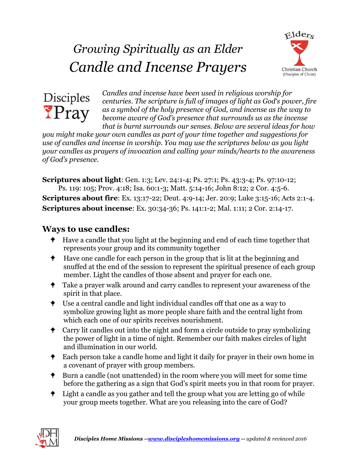# *Growing Spiritually as an Elder Candle and Incense Prayers*





*Candles and incense have been used in religious worship for centuries. The scripture is full of images of light as God's power, fire as a symbol of the holy presence of God, and incense as the way to become aware of God's presence that surrounds us as the incense that is burnt surrounds our senses. Below are several ideas for how* 

*you might make your own candles as part of your time together and suggestions for use of candles and incense in worship. You may use the scriptures below as you light your candles as prayers of invocation and calling your minds/hearts to the awareness of God's presence.*

**Scriptures about light**: Gen. 1:3; Lev. 24:1-4; Ps. 27:1; Ps. 43:3-4; Ps. 97:10-12; Ps. 119: 105; Prov. 4:18; Isa. 60:1-3; Matt. 5:14-16; John 8:12; 2 Cor. 4:5-6. **Scriptures about fire**: Ex. 13:17-22; Deut. 4:9-14; Jer. 20:9; Luke 3:15-16; Acts 2:1-4. **Scriptures about incense**: Ex. 30:34-36; Ps. 141:1-2; Mal. 1:11; 2 Cor. 2:14-17.

### **Ways to use candles:**

- $\bullet$  Have a candle that you light at the beginning and end of each time together that represents your group and its community together
- <sup> $\bullet$ </sup> Have one candle for each person in the group that is lit at the beginning and snuffed at the end of the session to represent the spiritual presence of each group member. Light the candles of those absent and prayer for each one.
- **Take a prayer walk around and carry candles to represent your awareness of the** spirit in that place.
- $\bullet$  Use a central candle and light individual candles off that one as a way to symbolize growing light as more people share faith and the central light from which each one of our spirits receives nourishment.
- <sup>t</sup> Carry lit candles out into the night and form a circle outside to pray symbolizing the power of light in a time of night. Remember our faith makes circles of light and illumination in our world.
- **Each person take a candle home and light it daily for prayer in their own home in** a covenant of prayer with group members.
- Burn a candle (not unattended) in the room where you will meet for some time before the gathering as a sign that God's spirit meets you in that room for prayer.
- <sup> $\bullet$ </sup> Light a candle as you gather and tell the group what you are letting go of while your group meets together. What are you releasing into the care of God?